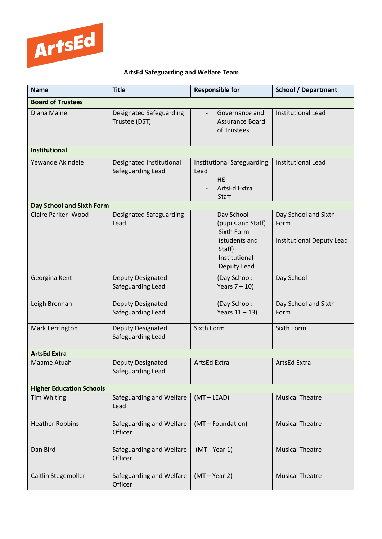

## **ArtsEd Safeguarding and Welfare Team**

| <b>Name</b>                     | <b>Title</b>                                    | <b>Responsible for</b>                                                                                                                | <b>School / Department</b>                                |  |
|---------------------------------|-------------------------------------------------|---------------------------------------------------------------------------------------------------------------------------------------|-----------------------------------------------------------|--|
| <b>Board of Trustees</b>        |                                                 |                                                                                                                                       |                                                           |  |
| Diana Maine                     | <b>Designated Safeguarding</b><br>Trustee (DST) | Governance and<br>Assurance Board<br>of Trustees                                                                                      | <b>Institutional Lead</b>                                 |  |
| <b>Institutional</b>            |                                                 |                                                                                                                                       |                                                           |  |
| Yewande Akindele                | Designated Institutional<br>Safeguarding Lead   | <b>Institutional Safeguarding</b><br>Lead<br><b>HE</b><br>ArtsEd Extra<br><b>Staff</b>                                                | <b>Institutional Lead</b>                                 |  |
| Day School and Sixth Form       |                                                 |                                                                                                                                       |                                                           |  |
| Claire Parker-Wood              | Designated Safeguarding<br>Lead                 | Day School<br>$\overline{\phantom{0}}$<br>(pupils and Staff)<br>Sixth Form<br>(students and<br>Staff)<br>Institutional<br>Deputy Lead | Day School and Sixth<br>Form<br>Institutional Deputy Lead |  |
| Georgina Kent                   | Deputy Designated<br>Safeguarding Lead          | (Day School:<br>Years $7 - 10$ )                                                                                                      | Day School                                                |  |
| Leigh Brennan                   | Deputy Designated<br>Safeguarding Lead          | (Day School:<br>Years $11 - 13$ )                                                                                                     | Day School and Sixth<br>Form                              |  |
| Mark Ferrington                 | Deputy Designated<br>Safeguarding Lead          | Sixth Form                                                                                                                            | Sixth Form                                                |  |
| <b>ArtsEd Extra</b>             |                                                 |                                                                                                                                       |                                                           |  |
| Maame Atuah                     | Deputy Designated<br>Safeguarding Lead          | <b>ArtsEd Extra</b>                                                                                                                   | <b>ArtsEd Extra</b>                                       |  |
| <b>Higher Education Schools</b> |                                                 |                                                                                                                                       |                                                           |  |
| Tim Whiting                     | Safeguarding and Welfare<br>Lead                | $(MT - LEAD)$                                                                                                                         | <b>Musical Theatre</b>                                    |  |
| <b>Heather Robbins</b>          | Safeguarding and Welfare<br>Officer             | (MT - Foundation)                                                                                                                     | <b>Musical Theatre</b>                                    |  |
| Dan Bird                        | Safeguarding and Welfare<br>Officer             | (MT - Year 1)                                                                                                                         | <b>Musical Theatre</b>                                    |  |
| Caitlin Stegemoller             | Safeguarding and Welfare<br>Officer             | $(MT - Year 2)$                                                                                                                       | <b>Musical Theatre</b>                                    |  |